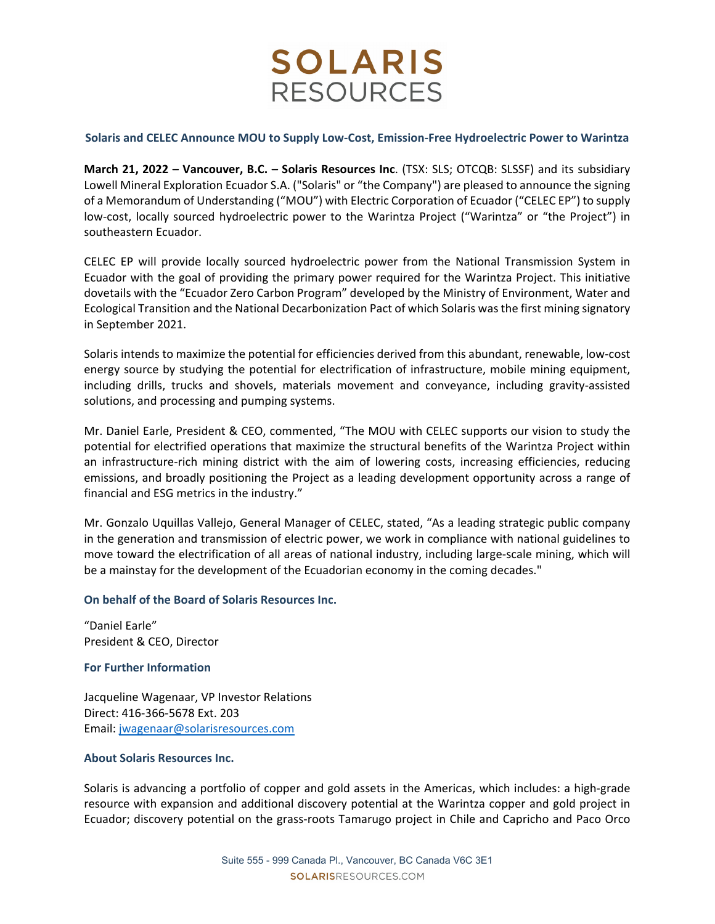# **SOLARIS RESOURCES**

## **Solaris and CELEC Announce MOU to Supply Low‐Cost, Emission‐Free Hydroelectric Power to Warintza**

**March 21, 2022 – Vancouver, B.C. – Solaris Resources Inc**. (TSX: SLS; OTCQB: SLSSF) and its subsidiary Lowell Mineral Exploration Ecuador S.A. ("Solaris" or "the Company") are pleased to announce the signing of a Memorandum of Understanding ("MOU") with Electric Corporation of Ecuador ("CELEC EP") to supply low-cost, locally sourced hydroelectric power to the Warintza Project ("Warintza" or "the Project") in southeastern Ecuador.

CELEC EP will provide locally sourced hydroelectric power from the National Transmission System in Ecuador with the goal of providing the primary power required for the Warintza Project. This initiative dovetails with the "Ecuador Zero Carbon Program" developed by the Ministry of Environment, Water and Ecological Transition and the National Decarbonization Pact of which Solaris wasthe first mining signatory in September 2021.

Solaris intends to maximize the potential for efficiencies derived from this abundant, renewable, low‐cost energy source by studying the potential for electrification of infrastructure, mobile mining equipment, including drills, trucks and shovels, materials movement and conveyance, including gravity‐assisted solutions, and processing and pumping systems.

Mr. Daniel Earle, President & CEO, commented, "The MOU with CELEC supports our vision to study the potential for electrified operations that maximize the structural benefits of the Warintza Project within an infrastructure-rich mining district with the aim of lowering costs, increasing efficiencies, reducing emissions, and broadly positioning the Project as a leading development opportunity across a range of financial and ESG metrics in the industry."

Mr. Gonzalo Uquillas Vallejo, General Manager of CELEC, stated, "As a leading strategic public company in the generation and transmission of electric power, we work in compliance with national guidelines to move toward the electrification of all areas of national industry, including large‐scale mining, which will be a mainstay for the development of the Ecuadorian economy in the coming decades."

## **On behalf of the Board of Solaris Resources Inc.**

"Daniel Earle" President & CEO, Director

#### **For Further Information**

Jacqueline Wagenaar, VP Investor Relations Direct: 416‐366‐5678 Ext. 203 Email: jwagenaar@solarisresources.com

#### **About Solaris Resources Inc.**

Solaris is advancing a portfolio of copper and gold assets in the Americas, which includes: a high-grade resource with expansion and additional discovery potential at the Warintza copper and gold project in Ecuador; discovery potential on the grass‐roots Tamarugo project in Chile and Capricho and Paco Orco